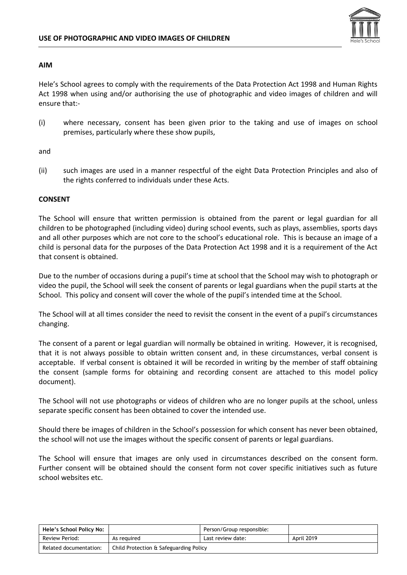

### **AIM**

Hele's School agrees to comply with the requirements of the Data Protection Act 1998 and Human Rights Act 1998 when using and/or authorising the use of photographic and video images of children and will ensure that:-

(i) where necessary, consent has been given prior to the taking and use of images on school premises, particularly where these show pupils,

and

(ii) such images are used in a manner respectful of the eight Data Protection Principles and also of the rights conferred to individuals under these Acts.

### **CONSENT**

The School will ensure that written permission is obtained from the parent or legal guardian for all children to be photographed (including video) during school events, such as plays, assemblies, sports days and all other purposes which are not core to the school's educational role. This is because an image of a child is personal data for the purposes of the Data Protection Act 1998 and it is a requirement of the Act that consent is obtained.

Due to the number of occasions during a pupil's time at school that the School may wish to photograph or video the pupil, the School will seek the consent of parents or legal guardians when the pupil starts at the School. This policy and consent will cover the whole of the pupil's intended time at the School.

The School will at all times consider the need to revisit the consent in the event of a pupil's circumstances changing.

The consent of a parent or legal guardian will normally be obtained in writing. However, it is recognised, that it is not always possible to obtain written consent and, in these circumstances, verbal consent is acceptable. If verbal consent is obtained it will be recorded in writing by the member of staff obtaining the consent (sample forms for obtaining and recording consent are attached to this model policy document).

The School will not use photographs or videos of children who are no longer pupils at the school, unless separate specific consent has been obtained to cover the intended use.

Should there be images of children in the School's possession for which consent has never been obtained, the school will not use the images without the specific consent of parents or legal guardians.

The School will ensure that images are only used in circumstances described on the consent form. Further consent will be obtained should the consent form not cover specific initiatives such as future school websites etc.

| Hele's School Policy No: |                                        | Person/Group responsible: |            |
|--------------------------|----------------------------------------|---------------------------|------------|
| Review Period:           | As reguired                            | Last review date:         | April 2019 |
| Related documentation:   | Child Protection & Safeguarding Policy |                           |            |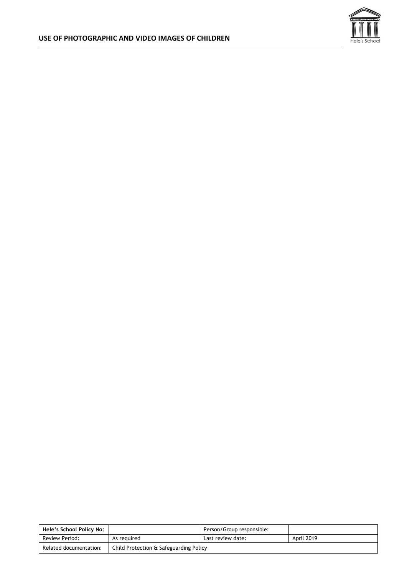

| Hele's School Policy No: |                                        | Person/Group responsible: |            |
|--------------------------|----------------------------------------|---------------------------|------------|
| Review Period:           | As reguired                            | Last review date:         | April 2019 |
| Related documentation:   | Child Protection & Safeguarding Policy |                           |            |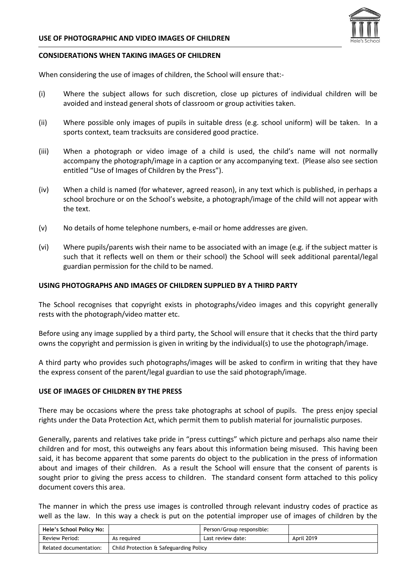

### **CONSIDERATIONS WHEN TAKING IMAGES OF CHILDREN**

When considering the use of images of children, the School will ensure that:-

- (i) Where the subject allows for such discretion, close up pictures of individual children will be avoided and instead general shots of classroom or group activities taken.
- (ii) Where possible only images of pupils in suitable dress (e.g. school uniform) will be taken. In a sports context, team tracksuits are considered good practice.
- (iii) When a photograph or video image of a child is used, the child's name will not normally accompany the photograph/image in a caption or any accompanying text. (Please also see section entitled "Use of Images of Children by the Press").
- (iv) When a child is named (for whatever, agreed reason), in any text which is published, in perhaps a school brochure or on the School's website, a photograph/image of the child will not appear with the text.
- (v) No details of home telephone numbers, e-mail or home addresses are given.
- (vi) Where pupils/parents wish their name to be associated with an image (e.g. if the subject matter is such that it reflects well on them or their school) the School will seek additional parental/legal guardian permission for the child to be named.

### **USING PHOTOGRAPHS AND IMAGES OF CHILDREN SUPPLIED BY A THIRD PARTY**

The School recognises that copyright exists in photographs/video images and this copyright generally rests with the photograph/video matter etc.

Before using any image supplied by a third party, the School will ensure that it checks that the third party owns the copyright and permission is given in writing by the individual(s) to use the photograph/image.

A third party who provides such photographs/images will be asked to confirm in writing that they have the express consent of the parent/legal guardian to use the said photograph/image.

# **USE OF IMAGES OF CHILDREN BY THE PRESS**

There may be occasions where the press take photographs at school of pupils. The press enjoy special rights under the Data Protection Act, which permit them to publish material for journalistic purposes.

Generally, parents and relatives take pride in "press cuttings" which picture and perhaps also name their children and for most, this outweighs any fears about this information being misused. This having been said, it has become apparent that some parents do object to the publication in the press of information about and images of their children. As a result the School will ensure that the consent of parents is sought prior to giving the press access to children. The standard consent form attached to this policy document covers this area.

The manner in which the press use images is controlled through relevant industry codes of practice as well as the law. In this way a check is put on the potential improper use of images of children by the

| Hele's School Policy No: |                                        | Person/Group responsible: |            |
|--------------------------|----------------------------------------|---------------------------|------------|
| <b>Review Period:</b>    | As reguired                            | Last review date:         | April 2019 |
| Related documentation:   | Child Protection & Safeguarding Policy |                           |            |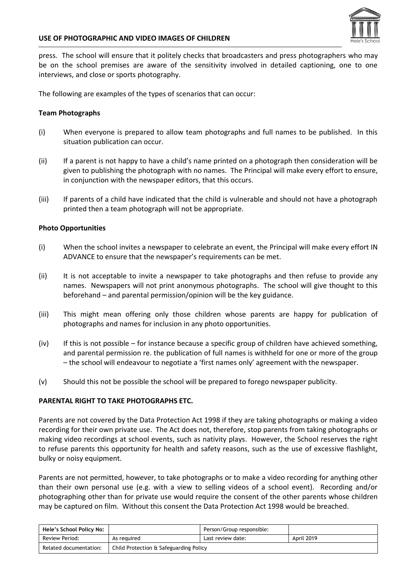

# **USE OF PHOTOGRAPHIC AND VIDEO IMAGES OF CHILDREN**

press. The school will ensure that it politely checks that broadcasters and press photographers who may be on the school premises are aware of the sensitivity involved in detailed captioning, one to one interviews, and close or sports photography.

The following are examples of the types of scenarios that can occur:

# **Team Photographs**

- (i) When everyone is prepared to allow team photographs and full names to be published. In this situation publication can occur.
- (ii) If a parent is not happy to have a child's name printed on a photograph then consideration will be given to publishing the photograph with no names. The Principal will make every effort to ensure, in conjunction with the newspaper editors, that this occurs.
- (iii) If parents of a child have indicated that the child is vulnerable and should not have a photograph printed then a team photograph will not be appropriate.

# **Photo Opportunities**

- (i) When the school invites a newspaper to celebrate an event, the Principal will make every effort IN ADVANCE to ensure that the newspaper's requirements can be met.
- (ii) It is not acceptable to invite a newspaper to take photographs and then refuse to provide any names. Newspapers will not print anonymous photographs. The school will give thought to this beforehand – and parental permission/opinion will be the key guidance.
- (iii) This might mean offering only those children whose parents are happy for publication of photographs and names for inclusion in any photo opportunities.
- (iv) If this is not possible for instance because a specific group of children have achieved something, and parental permission re. the publication of full names is withheld for one or more of the group – the school will endeavour to negotiate a 'first names only' agreement with the newspaper.
- (v) Should this not be possible the school will be prepared to forego newspaper publicity.

# **PARENTAL RIGHT TO TAKE PHOTOGRAPHS ETC.**

Parents are not covered by the Data Protection Act 1998 if they are taking photographs or making a video recording for their own private use. The Act does not, therefore, stop parents from taking photographs or making video recordings at school events, such as nativity plays. However, the School reserves the right to refuse parents this opportunity for health and safety reasons, such as the use of excessive flashlight, bulky or noisy equipment.

Parents are not permitted, however, to take photographs or to make a video recording for anything other than their own personal use (e.g. with a view to selling videos of a school event). Recording and/or photographing other than for private use would require the consent of the other parents whose children may be captured on film. Without this consent the Data Protection Act 1998 would be breached.

| Hele's School Policy No: |                                        | Person/Group responsible: |            |
|--------------------------|----------------------------------------|---------------------------|------------|
| Review Period:           | As reguired                            | Last review date:         | April 2019 |
| Related documentation:   | Child Protection & Safeguarding Policy |                           |            |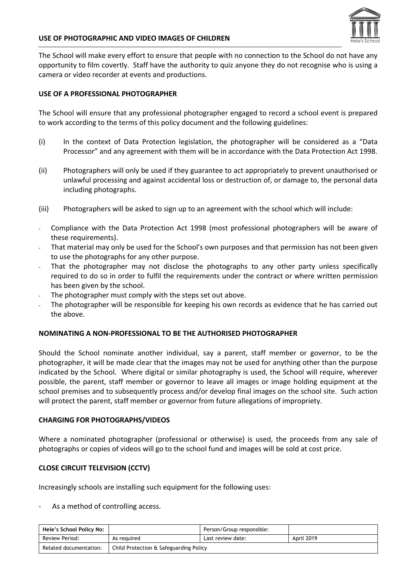

# **USE OF PHOTOGRAPHIC AND VIDEO IMAGES OF CHILDREN**

The School will make every effort to ensure that people with no connection to the School do not have any opportunity to film covertly. Staff have the authority to quiz anyone they do not recognise who is using a camera or video recorder at events and productions.

# **USE OF A PROFESSIONAL PHOTOGRAPHER**

The School will ensure that any professional photographer engaged to record a school event is prepared to work according to the terms of this policy document and the following guidelines:

- (i) In the context of Data Protection legislation, the photographer will be considered as a "Data Processor" and any agreement with them will be in accordance with the Data Protection Act 1998.
- (ii) Photographers will only be used if they guarantee to act appropriately to prevent unauthorised or unlawful processing and against accidental loss or destruction of, or damage to, the personal data including photographs.
- (iii) Photographers will be asked to sign up to an agreement with the school which will include:
- Compliance with the Data Protection Act 1998 (most professional photographers will be aware of these requirements).
- That material may only be used for the School's own purposes and that permission has not been given to use the photographs for any other purpose.
- That the photographer may not disclose the photographs to any other party unless specifically required to do so in order to fulfil the requirements under the contract or where written permission has been given by the school.
- The photographer must comply with the steps set out above.
- The photographer will be responsible for keeping his own records as evidence that he has carried out the above.

# **NOMINATING A NON-PROFESSIONAL TO BE THE AUTHORISED PHOTOGRAPHER**

Should the School nominate another individual, say a parent, staff member or governor, to be the photographer, it will be made clear that the images may not be used for anything other than the purpose indicated by the School. Where digital or similar photography is used, the School will require, wherever possible, the parent, staff member or governor to leave all images or image holding equipment at the school premises and to subsequently process and/or develop final images on the school site. Such action will protect the parent, staff member or governor from future allegations of impropriety.

# **CHARGING FOR PHOTOGRAPHS/VIDEOS**

Where a nominated photographer (professional or otherwise) is used, the proceeds from any sale of photographs or copies of videos will go to the school fund and images will be sold at cost price.

# **CLOSE CIRCUIT TELEVISION (CCTV)**

Increasingly schools are installing such equipment for the following uses:

As a method of controlling access.

| Hele's School Policy No: |                                        | Person/Group responsible: |            |
|--------------------------|----------------------------------------|---------------------------|------------|
| Review Period:           | As reguired                            | Last review date:         | April 2019 |
| Related documentation:   | Child Protection & Safeguarding Policy |                           |            |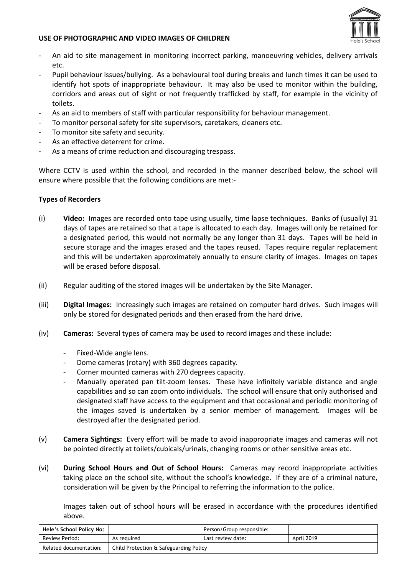# **USE OF PHOTOGRAPHIC AND VIDEO IMAGES OF CHILDREN**



- An aid to site management in monitoring incorrect parking, manoeuvring vehicles, delivery arrivals etc.
- Pupil behaviour issues/bullying. As a behavioural tool during breaks and lunch times it can be used to identify hot spots of inappropriate behaviour. It may also be used to monitor within the building, corridors and areas out of sight or not frequently trafficked by staff, for example in the vicinity of toilets.
- As an aid to members of staff with particular responsibility for behaviour management.
- To monitor personal safety for site supervisors, caretakers, cleaners etc.
- To monitor site safety and security.
- As an effective deterrent for crime.
- As a means of crime reduction and discouraging trespass.

Where CCTV is used within the school, and recorded in the manner described below, the school will ensure where possible that the following conditions are met:-

# **Types of Recorders**

- (i) **Video:** Images are recorded onto tape using usually, time lapse techniques. Banks of (usually) 31 days of tapes are retained so that a tape is allocated to each day. Images will only be retained for a designated period, this would not normally be any longer than 31 days. Tapes will be held in secure storage and the images erased and the tapes reused. Tapes require regular replacement and this will be undertaken approximately annually to ensure clarity of images. Images on tapes will be erased before disposal.
- (ii) Regular auditing of the stored images will be undertaken by the Site Manager.
- (iii) **Digital Images:** Increasingly such images are retained on computer hard drives. Such images will only be stored for designated periods and then erased from the hard drive.
- (iv) **Cameras:** Several types of camera may be used to record images and these include:
	- Fixed-Wide angle lens.
	- Dome cameras (rotary) with 360 degrees capacity.
	- Corner mounted cameras with 270 degrees capacity.
	- Manually operated pan tilt-zoom lenses. These have infinitely variable distance and angle capabilities and so can zoom onto individuals. The school will ensure that only authorised and designated staff have access to the equipment and that occasional and periodic monitoring of the images saved is undertaken by a senior member of management. Images will be destroyed after the designated period.
- (v) **Camera Sightings:** Every effort will be made to avoid inappropriate images and cameras will not be pointed directly at toilets/cubicals/urinals, changing rooms or other sensitive areas etc.
- (vi) **During School Hours and Out of School Hours:** Cameras may record inappropriate activities taking place on the school site, without the school's knowledge. If they are of a criminal nature, consideration will be given by the Principal to referring the information to the police.

Images taken out of school hours will be erased in accordance with the procedures identified above.

| Hele's School Policy No: |                                        | Person/Group responsible: |            |
|--------------------------|----------------------------------------|---------------------------|------------|
| Review Period:           | As reguired                            | Last review date:         | April 2019 |
| Related documentation:   | Child Protection & Safeguarding Policy |                           |            |